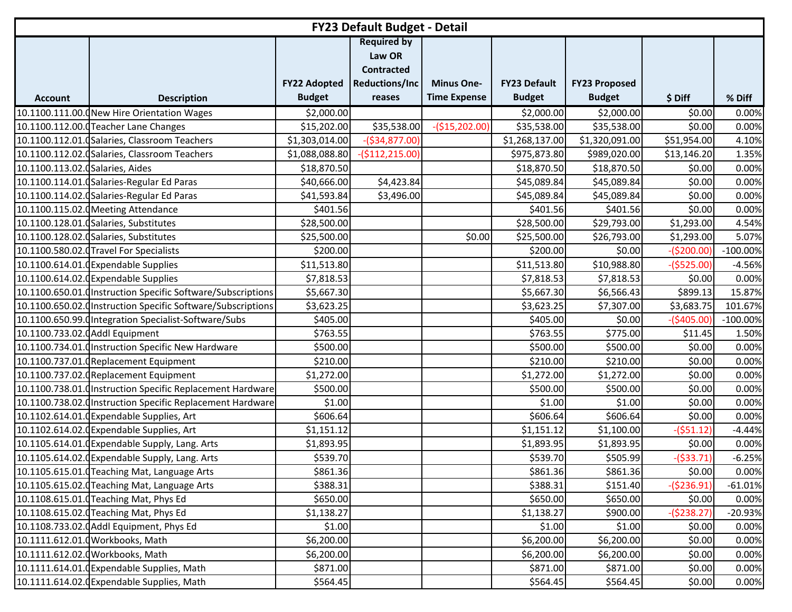|                                  | <b>FY23 Default Budget - Detail</b>                          |                     |                                                                            |                     |                     |                      |              |             |  |  |  |
|----------------------------------|--------------------------------------------------------------|---------------------|----------------------------------------------------------------------------|---------------------|---------------------|----------------------|--------------|-------------|--|--|--|
|                                  |                                                              | <b>FY22 Adopted</b> | <b>Required by</b><br>Law OR<br><b>Contracted</b><br><b>Reductions/Inc</b> | <b>Minus One-</b>   | <b>FY23 Default</b> | <b>FY23 Proposed</b> |              |             |  |  |  |
| <b>Account</b>                   | <b>Description</b>                                           | <b>Budget</b>       | reases                                                                     | <b>Time Expense</b> | <b>Budget</b>       | <b>Budget</b>        | \$ Diff      | % Diff      |  |  |  |
|                                  | 10.1100.111.00.0New Hire Orientation Wages                   | \$2,000.00          |                                                                            |                     | \$2,000.00          | \$2,000.00           | \$0.00       | 0.00%       |  |  |  |
|                                  | 10.1100.112.00.0 Teacher Lane Changes                        | \$15,202.00         | \$35,538.00                                                                | $-($15,202.00)$     | \$35,538.00         | \$35,538.00          | \$0.00       | 0.00%       |  |  |  |
|                                  | 10.1100.112.01.0Salaries, Classroom Teachers                 | \$1,303,014.00      | $-($34,877.00)$                                                            |                     | \$1,268,137.00      | \$1,320,091.00       | \$51,954.00  | 4.10%       |  |  |  |
|                                  | 10.1100.112.02. (Salaries, Classroom Teachers                | \$1,088,088.80      | $-($112,215.00)$                                                           |                     | \$975,873.80        | \$989,020.00         | \$13,146.20  | 1.35%       |  |  |  |
| 10.1100.113.02.0 Salaries, Aides |                                                              | \$18,870.50         |                                                                            |                     | \$18,870.50         | \$18,870.50          | \$0.00       | 0.00%       |  |  |  |
|                                  | 10.1100.114.01.0 Salaries-Regular Ed Paras                   | \$40,666.00         | \$4,423.84                                                                 |                     | \$45,089.84         | \$45,089.84          | \$0.00       | 0.00%       |  |  |  |
|                                  | 10.1100.114.02. Galaries-Regular Ed Paras                    | \$41,593.84         | \$3,496.00                                                                 |                     | \$45,089.84         | \$45,089.84          | \$0.00       | 0.00%       |  |  |  |
|                                  | 10.1100.115.02.0 Meeting Attendance                          | \$401.56            |                                                                            |                     | \$401.56            | \$401.56             | \$0.00       | 0.00%       |  |  |  |
|                                  | 10.1100.128.01. Galaries, Substitutes                        | \$28,500.00         |                                                                            |                     | \$28,500.00         | \$29,793.00          | \$1,293.00   | 4.54%       |  |  |  |
|                                  | 10.1100.128.02.0Salaries, Substitutes                        | \$25,500.00         |                                                                            | \$0.00              | \$25,500.00         | \$26,793.00          | \$1,293.00   | 5.07%       |  |  |  |
|                                  | 10.1100.580.02.0Travel For Specialists                       | \$200.00            |                                                                            |                     | \$200.00            | \$0.00               | $-($200.00)$ | $-100.00\%$ |  |  |  |
|                                  | 10.1100.614.01.0Expendable Supplies                          | \$11,513.80         |                                                                            |                     | \$11,513.80         | \$10,988.80          | $-($525.00)$ | $-4.56%$    |  |  |  |
|                                  | 10.1100.614.02.0 Expendable Supplies                         | \$7,818.53          |                                                                            |                     | \$7,818.53          | \$7,818.53           | \$0.00       | 0.00%       |  |  |  |
|                                  | 10.1100.650.01.0 Instruction Specific Software/Subscriptions | \$5,667.30          |                                                                            |                     | \$5,667.30          | \$6,566.43           | \$899.13     | 15.87%      |  |  |  |
|                                  | 10.1100.650.02.0 Instruction Specific Software/Subscriptions | \$3,623.25          |                                                                            |                     | \$3,623.25          | \$7,307.00           | \$3,683.75   | 101.67%     |  |  |  |
|                                  | 10.1100.650.99.0Integration Specialist-Software/Subs         | \$405.00            |                                                                            |                     | \$405.00            | \$0.00               | $-($405.00)$ | $-100.00\%$ |  |  |  |
| 10.1100.733.02.0 Addl Equipment  |                                                              | \$763.55            |                                                                            |                     | \$763.55            | \$775.00             | \$11.45      | 1.50%       |  |  |  |
|                                  | 10.1100.734.01.0Instruction Specific New Hardware            | \$500.00            |                                                                            |                     | \$500.00            | \$500.00             | \$0.00       | 0.00%       |  |  |  |
|                                  | 10.1100.737.01.0Replacement Equipment                        | \$210.00            |                                                                            |                     | \$210.00            | \$210.00             | \$0.00       | 0.00%       |  |  |  |
|                                  | 10.1100.737.02. Replacement Equipment                        | \$1,272.00          |                                                                            |                     | \$1,272.00          | \$1,272.00           | \$0.00       | 0.00%       |  |  |  |
|                                  | 10.1100.738.01. Instruction Specific Replacement Hardware    | \$500.00            |                                                                            |                     | \$500.00            | \$500.00             | \$0.00       | 0.00%       |  |  |  |
|                                  | 10.1100.738.02. (Instruction Specific Replacement Hardware   | \$1.00              |                                                                            |                     | \$1.00              | \$1.00               | \$0.00       | 0.00%       |  |  |  |
|                                  | 10.1102.614.01.0Expendable Supplies, Art                     | \$606.64            |                                                                            |                     | \$606.64            | \$606.64             | \$0.00       | 0.00%       |  |  |  |
|                                  | 10.1102.614.02.0Expendable Supplies, Art                     | \$1,151.12          |                                                                            |                     | \$1,151.12          | \$1,100.00           | $-(551.12)$  | $-4.44%$    |  |  |  |
|                                  | 10.1105.614.01. Expendable Supply, Lang. Arts                | \$1,893.95          |                                                                            |                     | \$1,893.95          | \$1,893.95           | \$0.00       | 0.00%       |  |  |  |
|                                  | 10.1105.614.02. Expendable Supply, Lang. Arts                | \$539.70            |                                                                            |                     | \$539.70            | \$505.99             | $-($33.71)$  | $-6.25%$    |  |  |  |
|                                  | 10.1105.615.01. Teaching Mat, Language Arts                  | \$861.36            |                                                                            |                     | \$861.36            | \$861.36             | \$0.00       | 0.00%       |  |  |  |
|                                  | 10.1105.615.02. Teaching Mat, Language Arts                  | \$388.31            |                                                                            |                     | \$388.31            | \$151.40             | $-($236.91)$ | $-61.01%$   |  |  |  |
|                                  | 10.1108.615.01.0 Teaching Mat, Phys Ed                       | \$650.00            |                                                                            |                     | \$650.00            | \$650.00             | \$0.00       | 0.00%       |  |  |  |
|                                  | 10.1108.615.02.0 Teaching Mat, Phys Ed                       | \$1,138.27          |                                                                            |                     | \$1,138.27          | \$900.00             | $-($238.27)$ | $-20.93%$   |  |  |  |
|                                  | 10.1108.733.02.0Addl Equipment, Phys Ed                      | \$1.00              |                                                                            |                     | \$1.00              | \$1.00               | \$0.00       | 0.00%       |  |  |  |
|                                  | 10.1111.612.01.0 Workbooks, Math                             | \$6,200.00          |                                                                            |                     | \$6,200.00          | \$6,200.00           | \$0.00       | 0.00%       |  |  |  |
|                                  | 10.1111.612.02.0Workbooks, Math                              | \$6,200.00          |                                                                            |                     | \$6,200.00          | \$6,200.00           | \$0.00       | 0.00%       |  |  |  |
|                                  | 10.1111.614.01. Expendable Supplies, Math                    | \$871.00            |                                                                            |                     | \$871.00            | \$871.00             | \$0.00       | 0.00%       |  |  |  |
|                                  | 10.1111.614.02. Expendable Supplies, Math                    | \$564.45            |                                                                            |                     | \$564.45            | \$564.45             | \$0.00       | 0.00%       |  |  |  |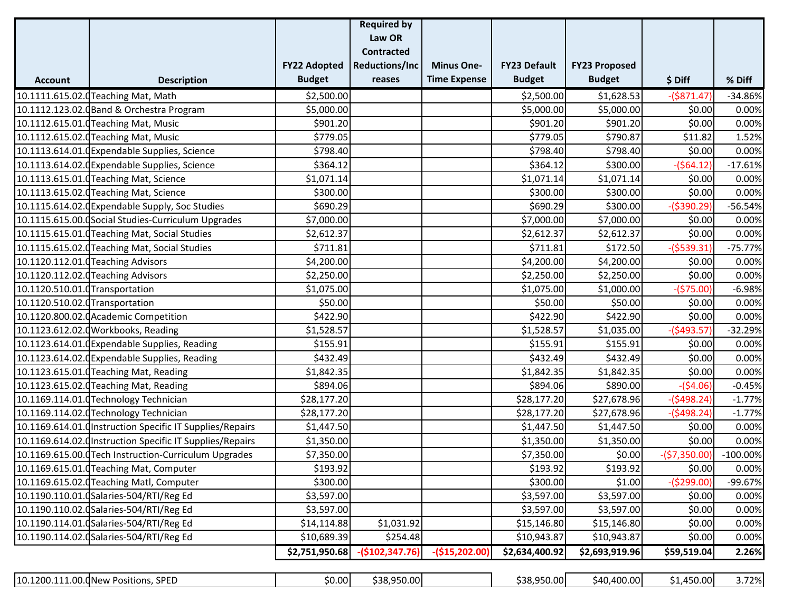|                                 |                                                           |                     | <b>Required by</b>    |                     |                     |                      |                |             |
|---------------------------------|-----------------------------------------------------------|---------------------|-----------------------|---------------------|---------------------|----------------------|----------------|-------------|
|                                 |                                                           |                     | Law OR                |                     |                     |                      |                |             |
|                                 |                                                           |                     | <b>Contracted</b>     |                     |                     |                      |                |             |
|                                 |                                                           | <b>FY22 Adopted</b> | <b>Reductions/Inc</b> | <b>Minus One-</b>   | <b>FY23 Default</b> | <b>FY23 Proposed</b> |                |             |
| <b>Account</b>                  | <b>Description</b>                                        | <b>Budget</b>       | reases                | <b>Time Expense</b> | <b>Budget</b>       | <b>Budget</b>        | \$Diff         | % Diff      |
|                                 | 10.1111.615.02.0 Teaching Mat, Math                       | \$2,500.00          |                       |                     | \$2,500.00          | \$1,628.53           | $-($871.47)$   | $-34.86%$   |
|                                 | 10.1112.123.02.0 Band & Orchestra Program                 | \$5,000.00          |                       |                     | \$5,000.00          | \$5,000.00           | \$0.00         | 0.00%       |
|                                 | 10.1112.615.01.0 Teaching Mat, Music                      | \$901.20            |                       |                     | \$901.20            | \$901.20             | \$0.00         | 0.00%       |
|                                 | 10.1112.615.02. Teaching Mat, Music                       | \$779.05            |                       |                     | \$779.05            | \$790.87             | \$11.82        | 1.52%       |
|                                 | 10.1113.614.01. Expendable Supplies, Science              | \$798.40            |                       |                     | \$798.40            | \$798.40             | \$0.00         | 0.00%       |
|                                 | 10.1113.614.02. (Expendable Supplies, Science             | \$364.12            |                       |                     | \$364.12            | \$300.00             | $-($64.12)$    | $-17.61%$   |
|                                 | 10.1113.615.01.0Teaching Mat, Science                     | \$1,071.14          |                       |                     | \$1,071.14          | \$1,071.14           | \$0.00         | 0.00%       |
|                                 | 10.1113.615.02.0 Teaching Mat, Science                    | \$300.00            |                       |                     | \$300.00            | \$300.00             | \$0.00         | 0.00%       |
|                                 | 10.1115.614.02.0 Expendable Supply, Soc Studies           | \$690.29            |                       |                     | \$690.29            | \$300.00             | $-($390.29)$   | $-56.54%$   |
|                                 | 10.1115.615.00. Social Studies-Curriculum Upgrades        | \$7,000.00          |                       |                     | \$7,000.00          | \$7,000.00           | \$0.00         | 0.00%       |
|                                 | 10.1115.615.01.0 Teaching Mat, Social Studies             | \$2,612.37          |                       |                     | \$2,612.37          | \$2,612.37           | \$0.00         | 0.00%       |
|                                 | 10.1115.615.02. Teaching Mat, Social Studies              | \$711.81            |                       |                     | \$711.81            | \$172.50             | $-($539.31)$   | $-75.77%$   |
|                                 | 10.1120.112.01.0Teaching Advisors                         | \$4,200.00          |                       |                     | \$4,200.00          | \$4,200.00           | \$0.00         | 0.00%       |
|                                 | 10.1120.112.02. Teaching Advisors                         | \$2,250.00          |                       |                     | \$2,250.00          | \$2,250.00           | \$0.00         | 0.00%       |
| 10.1120.510.01.0 Transportation |                                                           | \$1,075.00          |                       |                     | \$1,075.00          | \$1,000.00           | $-($75.00)$    | $-6.98%$    |
| 10.1120.510.02.0 Transportation |                                                           | \$50.00             |                       |                     | \$50.00             | \$50.00              | \$0.00         | 0.00%       |
|                                 | 10.1120.800.02.0 Academic Competition                     | \$422.90            |                       |                     | \$422.90            | \$422.90             | \$0.00         | 0.00%       |
|                                 | 10.1123.612.02.0 Workbooks, Reading                       | \$1,528.57          |                       |                     | \$1,528.57          | \$1,035.00           | $-($493.57)$   | $-32.29%$   |
|                                 | 10.1123.614.01. GExpendable Supplies, Reading             | \$155.91            |                       |                     | \$155.91            | \$155.91             | \$0.00         | 0.00%       |
|                                 | 10.1123.614.02. Expendable Supplies, Reading              | \$432.49            |                       |                     | \$432.49            | \$432.49             | \$0.00         | 0.00%       |
|                                 | 10.1123.615.01.0 Teaching Mat, Reading                    | \$1,842.35          |                       |                     | \$1,842.35          | \$1,842.35           | \$0.00         | 0.00%       |
|                                 | 10.1123.615.02. Teaching Mat, Reading                     | \$894.06            |                       |                     | \$894.06            | \$890.00             | $-($4.06)$     | $-0.45%$    |
|                                 | 10.1169.114.01.0 Technology Technician                    | \$28,177.20         |                       |                     | \$28,177.20         | \$27,678.96          | $-($498.24)$   | $-1.77%$    |
|                                 | 10.1169.114.02.0 Technology Technician                    | \$28,177.20         |                       |                     | \$28,177.20         | \$27,678.96          | $-($498.24)$   | $-1.77%$    |
|                                 | 10.1169.614.01. Instruction Specific IT Supplies/Repairs  | \$1,447.50          |                       |                     | \$1,447.50          | \$1,447.50           | \$0.00         | 0.00%       |
|                                 | 10.1169.614.02. (Instruction Specific IT Supplies/Repairs | \$1,350.00          |                       |                     | \$1,350.00          | \$1,350.00           | \$0.00         | 0.00%       |
|                                 | 10.1169.615.00.0 Tech Instruction-Curriculum Upgrades     | \$7,350.00          |                       |                     | \$7,350.00          | \$0.00               | $-($7,350.00)$ | $-100.00\%$ |
|                                 | 10.1169.615.01. Teaching Mat, Computer                    | \$193.92            |                       |                     | \$193.92            | \$193.92             | \$0.00         | 0.00%       |
|                                 | 10.1169.615.02.0 Teaching Matl, Computer                  | \$300.00            |                       |                     | \$300.00            | \$1.00               | $-($299.00)$   | -99.67%     |
|                                 | 10.1190.110.01.0Salaries-504/RTI/Reg Ed                   | \$3,597.00          |                       |                     | \$3,597.00          | \$3,597.00           | \$0.00         | 0.00%       |
|                                 | 10.1190.110.02.0Salaries-504/RTI/Reg Ed                   | \$3,597.00          |                       |                     | \$3,597.00          | \$3,597.00           | \$0.00         | 0.00%       |
|                                 | 10.1190.114.01.0Salaries-504/RTI/Reg Ed                   | \$14,114.88         | \$1,031.92            |                     | \$15,146.80         | \$15,146.80          | \$0.00         | 0.00%       |
|                                 | 10.1190.114.02. dSalaries-504/RTI/Reg Ed                  | \$10,689.39         | \$254.48              |                     | \$10,943.87         | \$10,943.87          | \$0.00         | 0.00%       |
|                                 |                                                           | \$2,751,950.68      | $-($102,347.76)$      | $-($15,202.00)$     | \$2,634,400.92      | \$2,693,919.96       | \$59,519.04    | 2.26%       |

| 11.00.<br>10.1200.1:<br>. SPED<br>).(INew<br>Positions. | \$0.00 | .950.00<br>. . <i>.</i><br>538 |  | ומח חפס כ<br>ה היה<br>. JUU.UU L<br>ാററ | .400.00<br>.<br>\/II I | 450.00 | 72%<br>22 / U |
|---------------------------------------------------------|--------|--------------------------------|--|-----------------------------------------|------------------------|--------|---------------|
|---------------------------------------------------------|--------|--------------------------------|--|-----------------------------------------|------------------------|--------|---------------|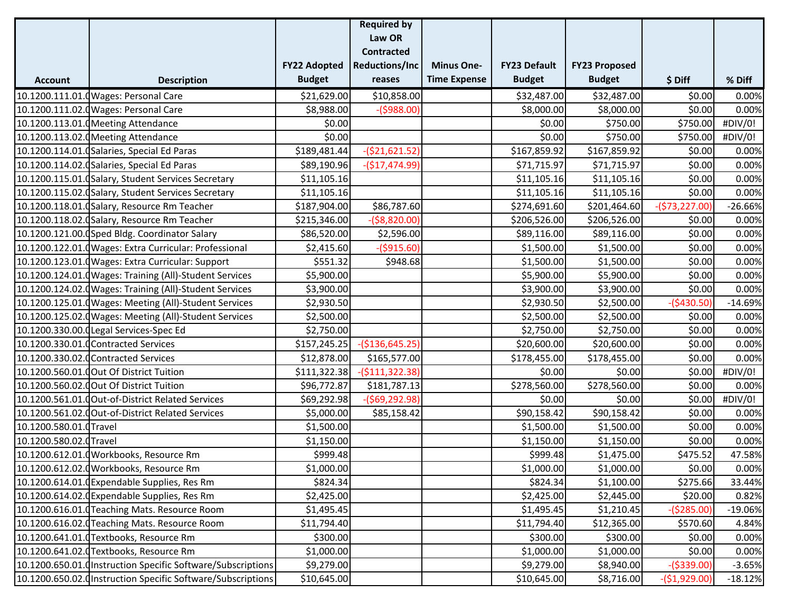|                        |                                                              |                     | <b>Required by</b>    |                     |                     |                      |                 |           |
|------------------------|--------------------------------------------------------------|---------------------|-----------------------|---------------------|---------------------|----------------------|-----------------|-----------|
|                        |                                                              |                     | Law OR                |                     |                     |                      |                 |           |
|                        |                                                              |                     | <b>Contracted</b>     |                     |                     |                      |                 |           |
|                        |                                                              | <b>FY22 Adopted</b> | <b>Reductions/Inc</b> | <b>Minus One-</b>   | <b>FY23 Default</b> | <b>FY23 Proposed</b> |                 |           |
| <b>Account</b>         | <b>Description</b>                                           | <b>Budget</b>       | reases                | <b>Time Expense</b> | <b>Budget</b>       | <b>Budget</b>        | \$ Diff         | % Diff    |
|                        | 10.1200.111.01.0 Wages: Personal Care                        | \$21,629.00         | \$10,858.00           |                     | \$32,487.00         | \$32,487.00          | \$0.00          | 0.00%     |
|                        | 10.1200.111.02.0 Wages: Personal Care                        | \$8,988.00          | $-($988.00)$          |                     | \$8,000.00          | \$8,000.00           | \$0.00          | 0.00%     |
|                        | 10.1200.113.01. Meeting Attendance                           | \$0.00              |                       |                     | \$0.00              | \$750.00             | \$750.00        | #DIV/0!   |
|                        | 10.1200.113.02.0 Meeting Attendance                          | \$0.00              |                       |                     | \$0.00              | \$750.00             | \$750.00        | #DIV/0!   |
|                        | 10.1200.114.01. (Salaries, Special Ed Paras                  | \$189,481.44        | $-(521, 621.52)$      |                     | \$167,859.92        | \$167,859.92         | \$0.00          | 0.00%     |
|                        | 10.1200.114.02.0 Salaries, Special Ed Paras                  | \$89,190.96         | $-($17,474.99)$       |                     | \$71,715.97         | \$71,715.97          | \$0.00          | 0.00%     |
|                        | 10.1200.115.01. Galary, Student Services Secretary           | \$11,105.16         |                       |                     | \$11,105.16         | \$11,105.16          | \$0.00          | 0.00%     |
|                        | 10.1200.115.02. (Salary, Student Services Secretary          | \$11,105.16         |                       |                     | \$11,105.16         | \$11,105.16          | \$0.00          | 0.00%     |
|                        | 10.1200.118.01.0Salary, Resource Rm Teacher                  | \$187,904.00        | \$86,787.60           |                     | \$274,691.60        | \$201,464.60         | $-($73,227.00)$ | $-26.66%$ |
|                        | 10.1200.118.02. (Salary, Resource Rm Teacher                 | \$215,346.00        | $-($8,820.00)$        |                     | \$206,526.00        | \$206,526.00         | \$0.00          | 0.00%     |
|                        | 10.1200.121.00.0Sped Bldg. Coordinator Salary                | \$86,520.00         | \$2,596.00            |                     | \$89,116.00         | \$89,116.00          | \$0.00          | 0.00%     |
|                        | 10.1200.122.01.0 Wages: Extra Curricular: Professional       | \$2,415.60          | $-($915.60)$          |                     | \$1,500.00          | \$1,500.00           | \$0.00          | 0.00%     |
|                        | 10.1200.123.01.0 Wages: Extra Curricular: Support            | \$551.32            | \$948.68              |                     | \$1,500.00          | \$1,500.00           | \$0.00          | 0.00%     |
|                        | 10.1200.124.01.0 Wages: Training (All)-Student Services      | \$5,900.00          |                       |                     | \$5,900.00          | \$5,900.00           | \$0.00          | 0.00%     |
|                        | 10.1200.124.02.0 Wages: Training (All)-Student Services      | \$3,900.00          |                       |                     | \$3,900.00          | \$3,900.00           | \$0.00          | 0.00%     |
|                        | 10.1200.125.01.d Wages: Meeting (All)-Student Services       | \$2,930.50          |                       |                     | \$2,930.50          | \$2,500.00           | $-($430.50)$    | $-14.69%$ |
|                        | 10.1200.125.02.0 Wages: Meeting (All)-Student Services       | \$2,500.00          |                       |                     | \$2,500.00          | \$2,500.00           | \$0.00          | 0.00%     |
|                        | 10.1200.330.00.0Legal Services-Spec Ed                       | \$2,750.00          |                       |                     | \$2,750.00          | \$2,750.00           | \$0.00          | 0.00%     |
|                        | 10.1200.330.01.0 Contracted Services                         | \$157,245.25        | $-($136,645.25)$      |                     | \$20,600.00         | \$20,600.00          | \$0.00          | 0.00%     |
|                        | 10.1200.330.02.0 Contracted Services                         | \$12,878.00         | \$165,577.00          |                     | \$178,455.00        | \$178,455.00         | \$0.00          | 0.00%     |
|                        | 10.1200.560.01.0 Out Of District Tuition                     | \$111,322.38        | $-($111,322.38)$      |                     | \$0.00              | \$0.00               | \$0.00          | #DIV/0!   |
|                        | 10.1200.560.02.0 Out Of District Tuition                     | \$96,772.87         | \$181,787.13          |                     | \$278,560.00        | \$278,560.00         | \$0.00          | 0.00%     |
|                        | 10.1200.561.01.0 Out-of-District Related Services            | \$69,292.98         | $-($69,292.98)$       |                     | \$0.00              | \$0.00               | \$0.00          | #DIV/0!   |
|                        | 10.1200.561.02.0 Out-of-District Related Services            | \$5,000.00          | \$85,158.42           |                     | \$90,158.42         | \$90,158.42          | \$0.00          | 0.00%     |
| 10.1200.580.01.0Travel |                                                              | \$1,500.00          |                       |                     | \$1,500.00          | \$1,500.00           | \$0.00          | 0.00%     |
| 10.1200.580.02.0Travel |                                                              | \$1,150.00          |                       |                     | \$1,150.00          | \$1,150.00           | \$0.00          | 0.00%     |
|                        | 10.1200.612.01.0 Workbooks, Resource Rm                      | \$999.48            |                       |                     | \$999.48            | \$1,475.00           | \$475.52        | 47.58%    |
|                        | 10.1200.612.02.0 Workbooks, Resource Rm                      | \$1,000.00          |                       |                     | \$1,000.00          | \$1,000.00           | \$0.00          | 0.00%     |
|                        | 10.1200.614.01.0Expendable Supplies, Res Rm                  | \$824.34            |                       |                     | \$824.34            | \$1,100.00           | \$275.66        | 33.44%    |
|                        | 10.1200.614.02.0 Expendable Supplies, Res Rm                 | \$2,425.00          |                       |                     | \$2,425.00          | \$2,445.00           | \$20.00         | 0.82%     |
|                        | 10.1200.616.01.CTeaching Mats. Resource Room                 | \$1,495.45          |                       |                     | \$1,495.45          | \$1,210.45           | $-($285.00)$    | $-19.06%$ |
|                        | 10.1200.616.02.dTeaching Mats. Resource Room                 | \$11,794.40         |                       |                     | \$11,794.40         | \$12,365.00          | \$570.60        | 4.84%     |
|                        | 10.1200.641.01.0Textbooks, Resource Rm                       | \$300.00            |                       |                     | \$300.00            | \$300.00             | \$0.00          | 0.00%     |
|                        | 10.1200.641.02.0 Textbooks, Resource Rm                      | \$1,000.00          |                       |                     | \$1,000.00          | \$1,000.00           | \$0.00          | 0.00%     |
|                        | 10.1200.650.01. Instruction Specific Software/Subscriptions  | \$9,279.00          |                       |                     | \$9,279.00          | \$8,940.00           | $-($339.00)$    | $-3.65%$  |
|                        | 10.1200.650.02. (Instruction Specific Software/Subscriptions | \$10,645.00         |                       |                     | \$10,645.00         | \$8,716.00           | $-($1,929.00)$  | $-18.12%$ |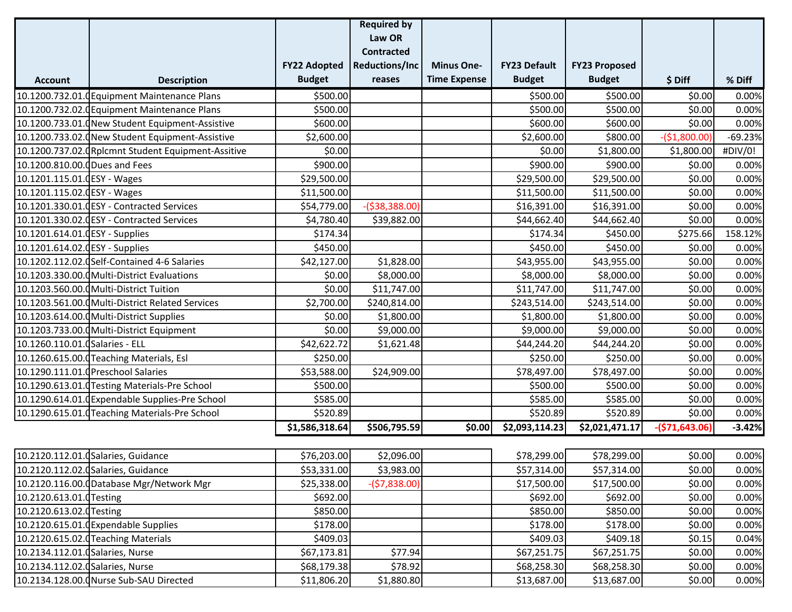|                                  |                                                    |                     | <b>Required by</b>    |                     |                     |                      |                 |           |
|----------------------------------|----------------------------------------------------|---------------------|-----------------------|---------------------|---------------------|----------------------|-----------------|-----------|
|                                  |                                                    |                     | Law OR                |                     |                     |                      |                 |           |
|                                  |                                                    |                     | <b>Contracted</b>     |                     |                     |                      |                 |           |
|                                  |                                                    | <b>FY22 Adopted</b> | <b>Reductions/Inc</b> | <b>Minus One-</b>   | <b>FY23 Default</b> | <b>FY23 Proposed</b> |                 |           |
| <b>Account</b>                   | <b>Description</b>                                 | <b>Budget</b>       | reases                | <b>Time Expense</b> | <b>Budget</b>       | <b>Budget</b>        | \$Diff          | % Diff    |
|                                  | 10.1200.732.01. Guipment Maintenance Plans         | \$500.00            |                       |                     | \$500.00            | \$500.00             | \$0.00          | 0.00%     |
|                                  | 10.1200.732.02.0 Equipment Maintenance Plans       | \$500.00            |                       |                     | \$500.00            | \$500.00             | \$0.00          | 0.00%     |
|                                  | 10.1200.733.01.0 New Student Equipment-Assistive   | \$600.00]           |                       |                     | \$600.00            | \$600.00             | \$0.00          | 0.00%     |
|                                  | 10.1200.733.02.0New Student Equipment-Assistive    | \$2,600.00          |                       |                     | \$2,600.00          | \$800.00             | $-($1,800.00)$  | $-69.23%$ |
|                                  | 10.1200.737.02. Rplcmnt Student Equipment-Assitive | \$0.00              |                       |                     | \$0.00              | \$1,800.00           | \$1,800.00      | #DIV/0!   |
| 10.1200.810.00.0 Dues and Fees   |                                                    | \$900.00            |                       |                     | \$900.00            | \$900.00             | \$0.00          | 0.00%     |
| 10.1201.115.01.0ESY - Wages      |                                                    | \$29,500.00         |                       |                     | \$29,500.00         | \$29,500.00          | \$0.00          | 0.00%     |
| 10.1201.115.02.0ESY - Wages      |                                                    | \$11,500.00         |                       |                     | \$11,500.00         | \$11,500.00          | \$0.00          | 0.00%     |
|                                  | 10.1201.330.01.0ESY - Contracted Services          | \$54,779.00         | $-($38,388.00)$       |                     | \$16,391.00         | \$16,391.00          | \$0.00          | 0.00%     |
|                                  | 10.1201.330.02.0ESY - Contracted Services          | \$4,780.40          | \$39,882.00           |                     | \$44,662.40         | \$44,662.40          | \$0.00          | 0.00%     |
| 10.1201.614.01.0ESY - Supplies   |                                                    | \$174.34            |                       |                     | \$174.34            | \$450.00             | \$275.66        | 158.12%   |
| 10.1201.614.02.0ESY - Supplies   |                                                    | \$450.00            |                       |                     | \$450.00            | \$450.00             | \$0.00          | 0.00%     |
|                                  | 10.1202.112.02.0 Self-Contained 4-6 Salaries       | \$42,127.00         | \$1,828.00            |                     | \$43,955.00         | \$43,955.00          | \$0.00          | 0.00%     |
|                                  | 10.1203.330.00.0 Multi-District Evaluations        | \$0.00              | \$8,000.00            |                     | \$8,000.00          | \$8,000.00           | \$0.00          | 0.00%     |
|                                  | 10.1203.560.00.0 Multi-District Tuition            | \$0.00              | \$11,747.00           |                     | \$11,747.00         | \$11,747.00          | \$0.00          | 0.00%     |
|                                  | 10.1203.561.00.0 Multi-District Related Services   | \$2,700.00          | \$240,814.00          |                     | \$243,514.00        | \$243,514.00         | \$0.00          | 0.00%     |
|                                  | 10.1203.614.00.0 Multi-District Supplies           | \$0.00              | \$1,800.00            |                     | \$1,800.00          | \$1,800.00           | \$0.00          | 0.00%     |
|                                  | 10.1203.733.00.0 Multi-District Equipment          | \$0.00              | \$9,000.00            |                     | \$9,000.00          | \$9,000.00           | \$0.00          | 0.00%     |
| 10.1260.110.01.0 Salaries - ELL  |                                                    | \$42,622.72         | \$1,621.48            |                     | \$44,244.20         | \$44,244.20          | \$0.00          | 0.00%     |
|                                  | 10.1260.615.00. Teaching Materials, Esl            | \$250.00            |                       |                     | \$250.00            | \$250.00             | \$0.00          | 0.00%     |
|                                  | 10.1290.111.01.0 Preschool Salaries                | \$53,588.00         | \$24,909.00           |                     | \$78,497.00         | \$78,497.00          | \$0.00          | 0.00%     |
|                                  | 10.1290.613.01. Testing Materials-Pre School       | \$500.00            |                       |                     | \$500.00            | \$500.00             | \$0.00          | 0.00%     |
|                                  | 10.1290.614.01.0 Expendable Supplies-Pre School    | \$585.00            |                       |                     | \$585.00            | \$585.00             | \$0.00          | 0.00%     |
|                                  | 10.1290.615.01.0 Teaching Materials-Pre School     | \$520.89            |                       |                     | \$520.89            | \$520.89             | \$0.00          | 0.00%     |
|                                  |                                                    | \$1,586,318.64      | \$506,795.59          | \$0.00              | \$2,093,114.23      | \$2,021,471.17       | $-($71,643.06)$ | $-3.42%$  |
|                                  |                                                    |                     |                       |                     |                     |                      |                 |           |
|                                  | 10.2120.112.01. (Salaries, Guidance                | \$76,203.00         | \$2,096.00            |                     | \$78,299.00         | \$78,299.00          | \$0.00          | 0.00%     |
|                                  | 10.2120.112.02. (Salaries, Guidance                | \$53,331.00         | \$3,983.00            |                     | \$57,314.00         | \$57,314.00          | \$0.00          | 0.00%     |
|                                  | 10.2120.116.00.0Database Mgr/Network Mgr           | \$25,338.00         | $-(57,838.00)$        |                     | \$17,500.00         | \$17,500.00          | \$0.00          | 0.00%     |
| 10.2120.613.01.0 Testing         |                                                    | \$692.00            |                       |                     | \$692.00            | \$692.00             | \$0.00          | 0.00%     |
| 10.2120.613.02.0 Testing         |                                                    | \$850.00            |                       |                     | \$850.00            | \$850.00             | \$0.00          | 0.00%     |
|                                  | 10.2120.615.01.0 Expendable Supplies               | \$178.00            |                       |                     | \$178.00            | \$178.00             | \$0.00          | 0.00%     |
|                                  | 10.2120.615.02. Teaching Materials                 | \$409.03            |                       |                     | \$409.03            | \$409.18             | \$0.15          | 0.04%     |
| 10.2134.112.01.0 Salaries, Nurse |                                                    | \$67,173.81         | \$77.94               |                     | \$67,251.75         | \$67,251.75          | \$0.00          | 0.00%     |
| 10.2134.112.02. (Salaries, Nurse |                                                    | \$68,179.38         | \$78.92               |                     | \$68,258.30         | \$68,258.30          | \$0.00          | 0.00%     |
|                                  | 10.2134.128.00.0 Nurse Sub-SAU Directed            | \$11,806.20         | \$1,880.80            |                     | \$13,687.00         | \$13,687.00          | \$0.00          | 0.00%     |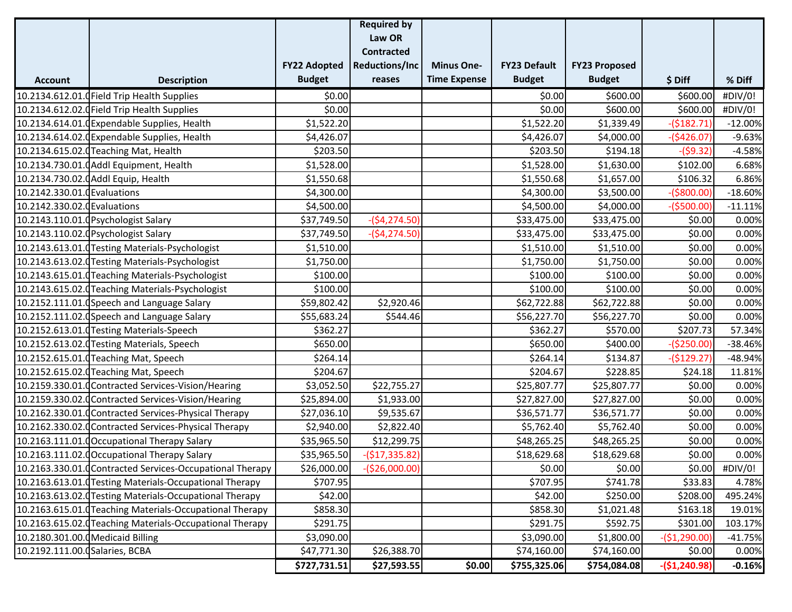|                                   |                                                           |                     | <b>Required by</b>    |                     |                     |                      |                |           |
|-----------------------------------|-----------------------------------------------------------|---------------------|-----------------------|---------------------|---------------------|----------------------|----------------|-----------|
|                                   |                                                           |                     | Law OR                |                     |                     |                      |                |           |
|                                   |                                                           |                     | <b>Contracted</b>     |                     |                     |                      |                |           |
|                                   |                                                           | <b>FY22 Adopted</b> | <b>Reductions/Inc</b> | <b>Minus One-</b>   | <b>FY23 Default</b> | <b>FY23 Proposed</b> |                |           |
| <b>Account</b>                    | <b>Description</b>                                        | <b>Budget</b>       | reases                | <b>Time Expense</b> | <b>Budget</b>       | <b>Budget</b>        | \$Diff         | % Diff    |
|                                   | 10.2134.612.01.0 Field Trip Health Supplies               | \$0.00              |                       |                     | \$0.00              | \$600.00             | \$600.00       | #DIV/0!   |
|                                   | 10.2134.612.02.0 Field Trip Health Supplies               | \$0.00              |                       |                     | \$0.00              | \$600.00             | \$600.00       | #DIV/0!   |
|                                   | 10.2134.614.01. Expendable Supplies, Health               | \$1,522.20          |                       |                     | \$1,522.20          | \$1,339.49           | $-($182.71)$   | $-12.00%$ |
|                                   | 10.2134.614.02.0 Expendable Supplies, Health              | \$4,426.07          |                       |                     | \$4,426.07          | \$4,000.00           | $-($426.07)$   | $-9.63%$  |
|                                   | 10.2134.615.02.0 Teaching Mat, Health                     | \$203.50            |                       |                     | \$203.50            | \$194.18             | $-($9.32)$     | $-4.58%$  |
|                                   | 10.2134.730.01.0 Addl Equipment, Health                   | \$1,528.00          |                       |                     | \$1,528.00          | \$1,630.00           | \$102.00       | 6.68%     |
|                                   | 10.2134.730.02.0 Addl Equip, Health                       | \$1,550.68          |                       |                     | \$1,550.68          | \$1,657.00           | \$106.32       | 6.86%     |
| 10.2142.330.01.0 Evaluations      |                                                           | \$4,300.00          |                       |                     | \$4,300.00          | \$3,500.00           | $-($800.00)$   | $-18.60%$ |
| 10.2142.330.02.0 Evaluations      |                                                           | \$4,500.00          |                       |                     | \$4,500.00          | \$4,000.00           | $-($500.00)$   | $-11.11%$ |
|                                   | 10.2143.110.01.0 Psychologist Salary                      | \$37,749.50         | $-($4,274.50)$        |                     | \$33,475.00         | \$33,475.00          | \$0.00         | 0.00%     |
|                                   | 10.2143.110.02.0 Psychologist Salary                      | \$37,749.50         | $-($4,274.50)$        |                     | \$33,475.00         | \$33,475.00          | \$0.00         | 0.00%     |
|                                   | 10.2143.613.01.0 Testing Materials-Psychologist           | \$1,510.00          |                       |                     | \$1,510.00          | \$1,510.00           | \$0.00         | 0.00%     |
|                                   | 10.2143.613.02.0 Testing Materials-Psychologist           | \$1,750.00          |                       |                     | \$1,750.00          | \$1,750.00           | \$0.00         | 0.00%     |
|                                   | 10.2143.615.01.0 Teaching Materials-Psychologist          | \$100.00            |                       |                     | \$100.00            | \$100.00             | \$0.00         | 0.00%     |
|                                   | 10.2143.615.02.dTeaching Materials-Psychologist           | \$100.00            |                       |                     | \$100.00            | \$100.00             | \$0.00         | 0.00%     |
|                                   | 10.2152.111.01. (Speech and Language Salary               | \$59,802.42         | \$2,920.46            |                     | \$62,722.88         | \$62,722.88          | \$0.00         | 0.00%     |
|                                   | 10.2152.111.02. Speech and Language Salary                | \$55,683.24         | \$544.46              |                     | \$56,227.70         | \$56,227.70          | \$0.00         | 0.00%     |
|                                   | 10.2152.613.01.0 Testing Materials-Speech                 | \$362.27            |                       |                     | \$362.27            | \$570.00             | \$207.73       | 57.34%    |
|                                   | 10.2152.613.02.0 Testing Materials, Speech                | \$650.00            |                       |                     | \$650.00            | \$400.00             | (\$250.00)     | $-38.46%$ |
|                                   | 10.2152.615.01.0 Teaching Mat, Speech                     | \$264.14            |                       |                     | \$264.14            | \$134.87             | $-($129.27)$   | $-48.94%$ |
|                                   | 10.2152.615.02.0 Teaching Mat, Speech                     | \$204.67            |                       |                     | \$204.67            | \$228.85             | \$24.18        | 11.81%    |
|                                   | 10.2159.330.01.0 Contracted Services-Vision/Hearing       | \$3,052.50          | \$22,755.27           |                     | \$25,807.77         | \$25,807.77          | \$0.00         | 0.00%     |
|                                   | 10.2159.330.02.0 Contracted Services-Vision/Hearing       | \$25,894.00         | \$1,933.00            |                     | \$27,827.00         | \$27,827.00          | \$0.00         | 0.00%     |
|                                   | 10.2162.330.01.0 Contracted Services-Physical Therapy     | \$27,036.10         | \$9,535.67            |                     | \$36,571.77         | \$36,571.77          | \$0.00         | 0.00%     |
|                                   | 10.2162.330.02.dContracted Services-Physical Therapy      | \$2,940.00          | \$2,822.40            |                     | \$5,762.40          | \$5,762.40           | \$0.00         | 0.00%     |
|                                   | 10.2163.111.01.0 Occupational Therapy Salary              | \$35,965.50         | \$12,299.75           |                     | \$48,265.25         | \$48,265.25          | \$0.00         | 0.00%     |
|                                   | 10.2163.111.02. Cocupational Therapy Salary               | \$35,965.50         | $-($17,335.82)$       |                     | \$18,629.68         | \$18,629.68          | \$0.00         | 0.00%     |
|                                   | 10.2163.330.01.0 Contracted Services-Occupational Therapy | \$26,000.00         | $-($26,000.00)$       |                     | \$0.00              | \$0.00               | \$0.00         | #DIV/0!   |
|                                   | 10.2163.613.01.0 Testing Materials-Occupational Therapy   | \$707.95            |                       |                     | \$707.95            | \$741.78             | \$33.83        | 4.78%     |
|                                   | 10.2163.613.02.0 Testing Materials-Occupational Therapy   | \$42.00             |                       |                     | \$42.00             | \$250.00             | \$208.00       | 495.24%   |
|                                   | 10.2163.615.01.0 Teaching Materials-Occupational Therapy  | \$858.30            |                       |                     | \$858.30            | \$1,021.48           | \$163.18       | 19.01%    |
|                                   | 10.2163.615.02.0 Teaching Materials-Occupational Therapy  | \$291.75            |                       |                     | \$291.75            | \$592.75             | \$301.00       | 103.17%   |
| 10.2180.301.00.0 Medicaid Billing |                                                           | \$3,090.00          |                       |                     | \$3,090.00          | \$1,800.00           | $-($1,290.00)$ | $-41.75%$ |
| 10.2192.111.00.0 Salaries, BCBA   |                                                           | \$47,771.30         | \$26,388.70           |                     | \$74,160.00         | \$74,160.00          | \$0.00         | 0.00%     |
|                                   |                                                           | \$727,731.51        | \$27,593.55           | \$0.00              | \$755,325.06        | \$754,084.08         | $-($1,240.98)$ | $-0.16%$  |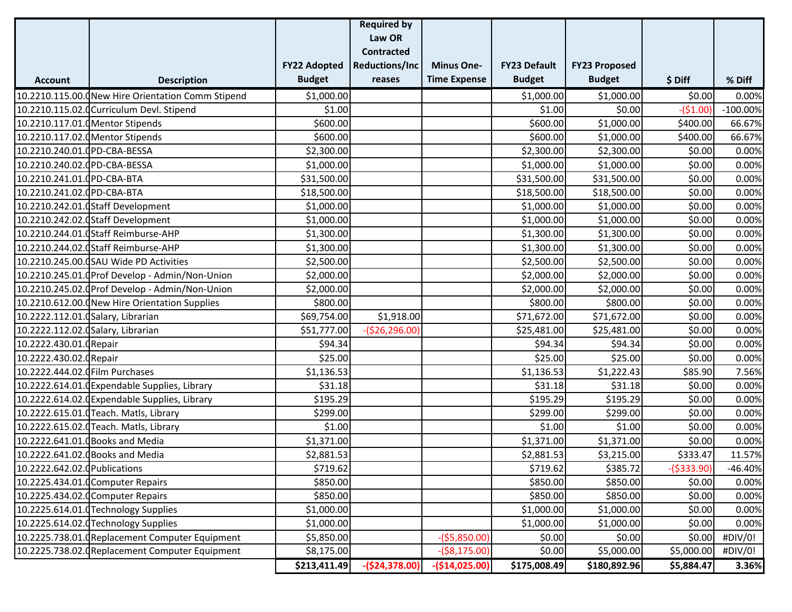|                                    |                                                   |                     | <b>Required by</b>    |                     |                     |                      |              |             |
|------------------------------------|---------------------------------------------------|---------------------|-----------------------|---------------------|---------------------|----------------------|--------------|-------------|
|                                    |                                                   |                     | Law OR                |                     |                     |                      |              |             |
|                                    |                                                   |                     | <b>Contracted</b>     |                     |                     |                      |              |             |
|                                    |                                                   | <b>FY22 Adopted</b> | <b>Reductions/Inc</b> | <b>Minus One-</b>   | <b>FY23 Default</b> | <b>FY23 Proposed</b> |              |             |
| <b>Account</b>                     | <b>Description</b>                                | <b>Budget</b>       | reases                | <b>Time Expense</b> | <b>Budget</b>       | <b>Budget</b>        | \$ Diff      | % Diff      |
|                                    | 10.2210.115.00.0New Hire Orientation Comm Stipend | \$1,000.00          |                       |                     | \$1,000.00          | \$1,000.00           | \$0.00       | 0.00%       |
|                                    | 10.2210.115.02.0Curriculum Devl. Stipend          | \$1.00              |                       |                     | \$1.00              | \$0.00               | $-($1.00)$   | $-100.00\%$ |
| 10.2210.117.01.0 Mentor Stipends   |                                                   | \$600.00            |                       |                     | \$600.00            | \$1,000.00           | \$400.00     | 66.67%      |
|                                    | 10.2210.117.02.0 Mentor Stipends                  | \$600.00            |                       |                     | \$600.00            | \$1,000.00           | \$400.00]    | 66.67%      |
| 10.2210.240.01.0PD-CBA-BESSA       |                                                   | \$2,300.00          |                       |                     | \$2,300.00          | \$2,300.00           | \$0.00       | 0.00%       |
| 10.2210.240.02.0PD-CBA-BESSA       |                                                   | \$1,000.00          |                       |                     | \$1,000.00          | \$1,000.00           | \$0.00       | 0.00%       |
| 10.2210.241.01.0PD-CBA-BTA         |                                                   | \$31,500.00         |                       |                     | \$31,500.00         | \$31,500.00          | \$0.00       | 0.00%       |
| 10.2210.241.02.0PD-CBA-BTA         |                                                   | \$18,500.00         |                       |                     | \$18,500.00         | \$18,500.00          | \$0.00       | 0.00%       |
|                                    | 10.2210.242.01.0 Staff Development                | \$1,000.00          |                       |                     | \$1,000.00          | \$1,000.00           | \$0.00       | 0.00%       |
|                                    | 10.2210.242.02.0 Staff Development                | \$1,000.00          |                       |                     | \$1,000.00          | \$1,000.00           | \$0.00       | 0.00%       |
|                                    | 10.2210.244.01.0 Staff Reimburse-AHP              | \$1,300.00          |                       |                     | \$1,300.00          | \$1,300.00           | \$0.00       | 0.00%       |
|                                    | 10.2210.244.02.dStaff Reimburse-AHP               | \$1,300.00          |                       |                     | \$1,300.00          | \$1,300.00           | \$0.00       | 0.00%       |
|                                    | 10.2210.245.00.0SAU Wide PD Activities            | \$2,500.00          |                       |                     | \$2,500.00          | \$2,500.00           | \$0.00       | 0.00%       |
|                                    | 10.2210.245.01. Prof Develop - Admin/Non-Union    | \$2,000.00          |                       |                     | \$2,000.00          | \$2,000.00           | \$0.00       | 0.00%       |
|                                    | 10.2210.245.02. Prof Develop - Admin/Non-Union    | \$2,000.00          |                       |                     | \$2,000.00          | \$2,000.00           | \$0.00       | 0.00%       |
|                                    | 10.2210.612.00. (New Hire Orientation Supplies    | \$800.00            |                       |                     | \$800.00            | \$800.00             | \$0.00       | 0.00%       |
| 10.2222.112.01.0 Salary, Librarian |                                                   | \$69,754.00         | \$1,918.00            |                     | \$71,672.00         | \$71,672.00          | \$0.00       | 0.00%       |
| 10.2222.112.02.0 Salary, Librarian |                                                   | \$51,777.00         | $-($26,296.00)$       |                     | \$25,481.00         | \$25,481.00          | \$0.00       | 0.00%       |
| 10.2222.430.01.0Repair             |                                                   | \$94.34             |                       |                     | \$94.34             | \$94.34              | \$0.00       | 0.00%       |
| 10.2222.430.02.0Repair             |                                                   | \$25.00             |                       |                     | \$25.00             | \$25.00              | \$0.00       | 0.00%       |
| 10.2222.444.02.0 Film Purchases    |                                                   | \$1,136.53          |                       |                     | \$1,136.53          | \$1,222.43           | \$85.90      | 7.56%       |
|                                    | 10.2222.614.01.0Expendable Supplies, Library      | \$31.18             |                       |                     | \$31.18             | \$31.18              | \$0.00       | 0.00%       |
|                                    | 10.2222.614.02.0 Expendable Supplies, Library     | \$195.29            |                       |                     | \$195.29            | \$195.29             | \$0.00       | 0.00%       |
|                                    | 10.2222.615.01.0Teach. Matls, Library             | \$299.00            |                       |                     | \$299.00            | \$299.00             | \$0.00       | 0.00%       |
|                                    | 10.2222.615.02.0 Teach. Matls, Library            | \$1.00              |                       |                     | \$1.00              | \$1.00               | \$0.00       | 0.00%       |
|                                    | 10.2222.641.01.0 Books and Media                  | \$1,371.00          |                       |                     | \$1,371.00          | \$1,371.00           | \$0.00       | 0.00%       |
|                                    | 10.2222.641.02.0 Books and Media                  | \$2,881.53          |                       |                     | \$2,881.53          | \$3,215.00           | \$333.47     | 11.57%      |
| 10.2222.642.02.0 Publications      |                                                   | \$719.62            |                       |                     | \$719.62            | \$385.72             | $-($333.90)$ | $-46.40%$   |
|                                    | 10.2225.434.01.0 Computer Repairs                 | \$850.00            |                       |                     | \$850.00            | \$850.00             | \$0.00       | 0.00%       |
|                                    | 10.2225.434.02.0 Computer Repairs                 | \$850.00            |                       |                     | \$850.00            | \$850.00             | \$0.00       | 0.00%       |
|                                    | 10.2225.614.01.0Technology Supplies               | \$1,000.00          |                       |                     | \$1,000.00          | \$1,000.00           | \$0.00       | 0.00%       |
|                                    | 10.2225.614.02.0 Technology Supplies              | \$1,000.00          |                       |                     | \$1,000.00          | \$1,000.00           | \$0.00       | 0.00%       |
|                                    | 10.2225.738.01.0Replacement Computer Equipment    | \$5,850.00          |                       | $-($5,850.00)$      | \$0.00              | \$0.00               | \$0.00       | #DIV/0!     |
|                                    | 10.2225.738.02. Replacement Computer Equipment    | \$8,175.00          |                       | $-($8,175.00)$      | \$0.00              | \$5,000.00           | \$5,000.00   | #DIV/0!     |
|                                    |                                                   | \$213,411.49        | $-($24,378.00)$       | $-($14,025.00)$     | \$175,008.49        | \$180,892.96         | \$5,884.47   | 3.36%       |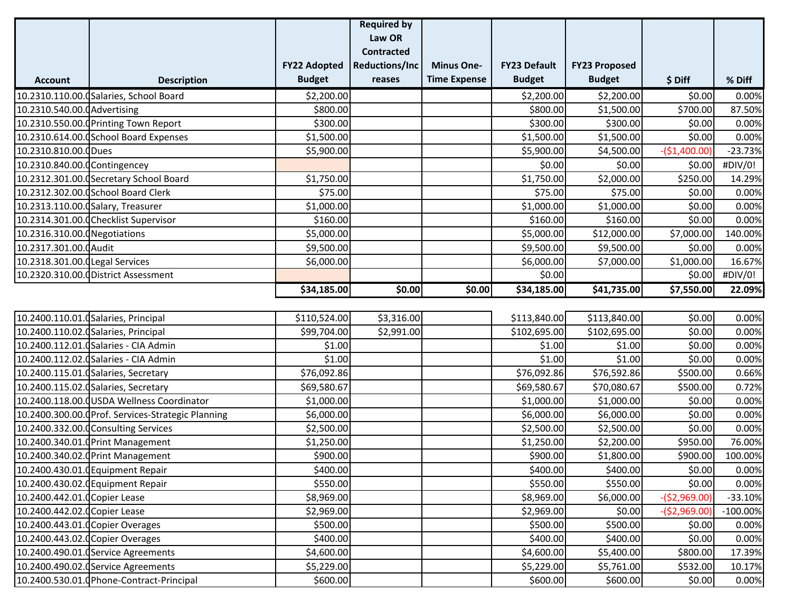|                                  |                                                   |                     | <b>Required by</b>    |                     |                     |                      |                |             |
|----------------------------------|---------------------------------------------------|---------------------|-----------------------|---------------------|---------------------|----------------------|----------------|-------------|
|                                  |                                                   |                     | Law OR                |                     |                     |                      |                |             |
|                                  |                                                   |                     | <b>Contracted</b>     |                     |                     |                      |                |             |
|                                  |                                                   | <b>FY22 Adopted</b> | <b>Reductions/Inc</b> | <b>Minus One-</b>   | <b>FY23 Default</b> | <b>FY23 Proposed</b> |                |             |
| <b>Account</b>                   | <b>Description</b>                                | <b>Budget</b>       | reases                | <b>Time Expense</b> | <b>Budget</b>       | <b>Budget</b>        | \$ Diff        | % Diff      |
|                                  | 10.2310.110.00. Galaries, School Board            | \$2,200.00          |                       |                     | \$2,200.00          | \$2,200.00           | \$0.00         | 0.00%       |
| 10.2310.540.00.0 Advertising     |                                                   | \$800.00            |                       |                     | \$800.00            | \$1,500.00           | \$700.00       | 87.50%      |
|                                  | 10.2310.550.00. Printing Town Report              | \$300.00            |                       |                     | \$300.00            | \$300.00             | \$0.00         | 0.00%       |
|                                  | 10.2310.614.00.0 School Board Expenses            | \$1,500.00          |                       |                     | \$1,500.00          | \$1,500.00           | \$0.00         | 0.00%       |
| 10.2310.810.00.0Dues             |                                                   | \$5,900.00          |                       |                     | \$5,900.00          | \$4,500.00           | $-($1,400.00)$ | $-23.73%$   |
| 10.2310.840.00.0 Contingencey    |                                                   |                     |                       |                     | \$0.00              | \$0.00               | \$0.00         | #DIV/0!     |
|                                  | 10.2312.301.00. Secretary School Board            | \$1,750.00          |                       |                     | \$1,750.00          | \$2,000.00           | \$250.00       | 14.29%      |
|                                  | 10.2312.302.00.0 School Board Clerk               | \$75.00             |                       |                     | \$75.00             | \$75.00              | \$0.00         | 0.00%       |
|                                  | 10.2313.110.00.0 Salary, Treasurer                | \$1,000.00          |                       |                     | \$1,000.00          | \$1,000.00           | \$0.00         | 0.00%       |
|                                  | 10.2314.301.00.0Checklist Supervisor              | \$160.00            |                       |                     | \$160.00            | \$160.00             | \$0.00         | 0.00%       |
| 10.2316.310.00.0 Negotiations    |                                                   | \$5,000.00          |                       |                     | \$5,000.00          | \$12,000.00          | \$7,000.00     | 140.00%     |
| 10.2317.301.00.0 Audit           |                                                   | \$9,500.00          |                       |                     | \$9,500.00          | \$9,500.00           | \$0.00         | 0.00%       |
| 10.2318.301.00.0Legal Services   |                                                   | \$6,000.00          |                       |                     | \$6,000.00          | \$7,000.00           | \$1,000.00     | 16.67%      |
|                                  | 10.2320.310.00.0District Assessment               |                     |                       |                     | \$0.00              |                      | \$0.00         | #DIV/0!     |
|                                  |                                                   | \$34,185.00         | \$0.00                | \$0.00              | \$34,185.00         | \$41,735.00          | \$7,550.00     | 22.09%      |
|                                  |                                                   |                     |                       |                     |                     |                      |                |             |
|                                  | 10.2400.110.01.0Salaries, Principal               | \$110,524.00        | \$3,316.00            |                     | \$113,840.00        | \$113,840.00         | \$0.00         | 0.00%       |
|                                  | 10.2400.110.02.0 Salaries, Principal              | \$99,704.00         | \$2,991.00            |                     | \$102,695.00        | \$102,695.00         | \$0.00         | 0.00%       |
|                                  | 10.2400.112.01. Galaries - CIA Admin              | \$1.00              |                       |                     | \$1.00              | \$1.00               | \$0.00         | 0.00%       |
|                                  | 10.2400.112.02. Galaries - CIA Admin              | \$1.00              |                       |                     | \$1.00              | \$1.00               | \$0.00         | 0.00%       |
|                                  | 10.2400.115.01.0 Salaries, Secretary              | \$76,092.86         |                       |                     | \$76,092.86         | \$76,592.86          | \$500.00       | 0.66%       |
|                                  | 10.2400.115.02.0 Salaries, Secretary              | \$69,580.67         |                       |                     | \$69,580.67         | \$70,080.67          | \$500.00       | 0.72%       |
|                                  | 10.2400.118.00.0USDA Wellness Coordinator         | \$1,000.00          |                       |                     | \$1,000.00          | \$1,000.00           | \$0.00         | 0.00%       |
|                                  | 10.2400.300.00. Prof. Services-Strategic Planning | \$6,000.00          |                       |                     | \$6,000.00          | \$6,000.00           | \$0.00         | 0.00%       |
|                                  | 10.2400.332.00.0 Consulting Services              | \$2,500.00          |                       |                     | \$2,500.00          | \$2,500.00           | \$0.00         | 0.00%       |
|                                  | 10.2400.340.01.0 Print Management                 | \$1,250.00          |                       |                     | \$1,250.00          | \$2,200.00           | \$950.00       | 76.00%      |
|                                  | 10.2400.340.02.0 Print Management                 | \$900.00            |                       |                     | \$900.00            | \$1,800.00           | \$900.00       | 100.00%     |
|                                  | 10.2400.430.01.0 Equipment Repair                 | \$400.00            |                       |                     | \$400.00            | \$400.00             | \$0.00         | 0.00%       |
|                                  | 10.2400.430.02.0 Equipment Repair                 | \$550.00            |                       |                     | \$550.00            | \$550.00             | \$0.00         | 0.00%       |
| 10.2400.442.01.0 Copier Lease    |                                                   | \$8,969.00          |                       |                     | \$8,969.00          | \$6,000.00           | $-($2,969.00)$ | $-33.10%$   |
| 10.2400.442.02.0 Copier Lease    |                                                   | \$2,969.00          |                       |                     | \$2,969.00          | \$0.00               | $-($2,969.00)$ | $-100.00\%$ |
| 10.2400.443.01.0 Copier Overages |                                                   | \$500.00            |                       |                     | \$500.00            | \$500.00             | \$0.00         | 0.00%       |
| 10.2400.443.02.0 Copier Overages |                                                   | \$400.00            |                       |                     | \$400.00            | \$400.00             | \$0.00         | 0.00%       |
|                                  | 10.2400.490.01.0 Service Agreements               | \$4,600.00          |                       |                     | \$4,600.00          | \$5,400.00           | \$800.00       | 17.39%      |
|                                  | 10.2400.490.02.0 Service Agreements               | \$5,229.00          |                       |                     | \$5,229.00          | \$5,761.00           | \$532.00       | 10.17%      |
|                                  | 10.2400.530.01.0 Phone-Contract-Principal         | \$600.00            |                       |                     | \$600.00            | \$600.00             | \$0.00         | 0.00%       |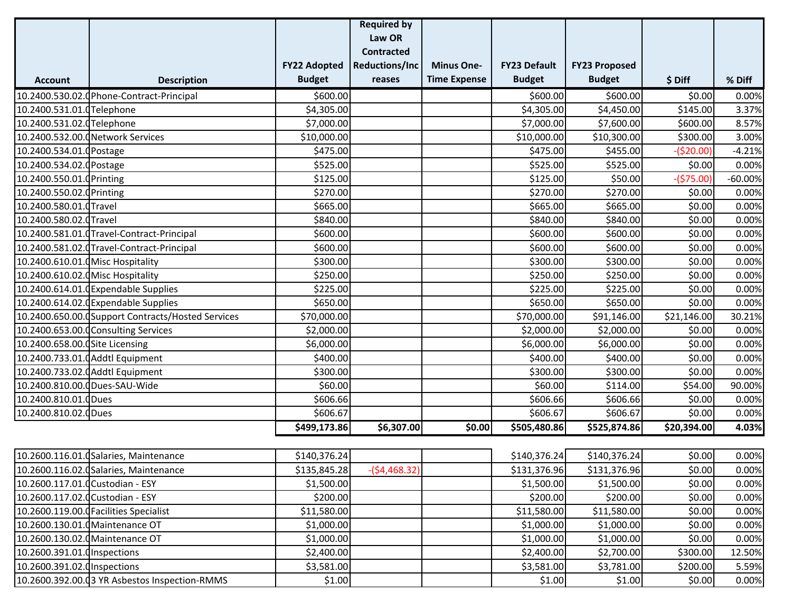|                                   |                                                   |                     | <b>Required by</b>    |                     |                     |                      |             |           |
|-----------------------------------|---------------------------------------------------|---------------------|-----------------------|---------------------|---------------------|----------------------|-------------|-----------|
|                                   |                                                   |                     | Law OR                |                     |                     |                      |             |           |
|                                   |                                                   |                     | <b>Contracted</b>     |                     |                     |                      |             |           |
|                                   |                                                   | <b>FY22 Adopted</b> | <b>Reductions/Inc</b> | <b>Minus One-</b>   | <b>FY23 Default</b> | <b>FY23 Proposed</b> |             |           |
| <b>Account</b>                    | <b>Description</b>                                | <b>Budget</b>       | reases                | <b>Time Expense</b> | <b>Budget</b>       | <b>Budget</b>        | \$ Diff     | % Diff    |
|                                   | 10.2400.530.02.0Phone-Contract-Principal          | \$600.00            |                       |                     | \$600.00            | \$600.00             | \$0.00      | 0.00%     |
| 10.2400.531.01.0Telephone         |                                                   | \$4,305.00          |                       |                     | \$4,305.00          | \$4,450.00           | \$145.00    | 3.37%     |
| 10.2400.531.02.0 Telephone        |                                                   | \$7,000.00          |                       |                     | \$7,000.00          | \$7,600.00           | \$600.00    | 8.57%     |
|                                   | 10.2400.532.00.0Network Services                  | \$10,000.00         |                       |                     | \$10,000.00         | \$10,300.00          | \$300.00    | 3.00%     |
| 10.2400.534.01.0 Postage          |                                                   | \$475.00            |                       |                     | \$475.00            | \$455.00             | $-($20.00)$ | $-4.21%$  |
| 10.2400.534.02.0 Postage          |                                                   | \$525.00            |                       |                     | \$525.00            | \$525.00             | \$0.00      | 0.00%     |
| 10.2400.550.01.0Printing          |                                                   | \$125.00            |                       |                     | \$125.00            | \$50.00              | $-($75.00)$ | $-60.00%$ |
| 10.2400.550.02.0 Printing         |                                                   | \$270.00            |                       |                     | \$270.00            | \$270.00             | \$0.00      | 0.00%     |
| 10.2400.580.01.0Travel            |                                                   | \$665.00            |                       |                     | \$665.00            | \$665.00             | \$0.00      | 0.00%     |
| 10.2400.580.02.0Travel            |                                                   | \$840.00            |                       |                     | \$840.00            | \$840.00             | \$0.00      | 0.00%     |
|                                   | 10.2400.581.01.0Travel-Contract-Principal         | \$600.00            |                       |                     | \$600.00            | \$600.00             | \$0.00      | 0.00%     |
|                                   | 10.2400.581.02.0Travel-Contract-Principal         | \$600.00            |                       |                     | \$600.00            | \$600.00             | \$0.00      | 0.00%     |
| 10.2400.610.01.0 Misc Hospitality |                                                   | \$300.00            |                       |                     | \$300.00            | \$300.00             | \$0.00      | 0.00%     |
| 10.2400.610.02.0 Misc Hospitality |                                                   | \$250.00            |                       |                     | \$250.00            | \$250.00             | \$0.00      | 0.00%     |
|                                   | 10.2400.614.01.0Expendable Supplies               | \$225.00            |                       |                     | \$225.00            | \$225.00             | \$0.00      | 0.00%     |
|                                   | 10.2400.614.02.0Expendable Supplies               | \$650.00            |                       |                     | \$650.00            | \$650.00             | \$0.00      | 0.00%     |
|                                   | 10.2400.650.00. Support Contracts/Hosted Services | \$70,000.00         |                       |                     | \$70,000.00         | \$91,146.00          | \$21,146.00 | 30.21%    |
|                                   | 10.2400.653.00.0 Consulting Services              | \$2,000.00          |                       |                     | \$2,000.00          | \$2,000.00           | \$0.00      | 0.00%     |
| 10.2400.658.00.0Site Licensing    |                                                   | \$6,000.00          |                       |                     | \$6,000.00          | \$6,000.00           | \$0.00      | 0.00%     |
|                                   | 10.2400.733.01.0 Addtl Equipment                  | \$400.00            |                       |                     | \$400.00            | \$400.00             | \$0.00      | 0.00%     |
|                                   | 10.2400.733.02.0 Addtl Equipment                  | \$300.00            |                       |                     | \$300.00            | \$300.00             | \$0.00      | 0.00%     |
| 10.2400.810.00.0Dues-SAU-Wide     |                                                   | \$60.00             |                       |                     | \$60.00             | \$114.00             | \$54.00     | 90.00%    |
| 10.2400.810.01.0Dues              |                                                   | \$606.66            |                       |                     | \$606.66            | \$606.66             | \$0.00      | 0.00%     |
| 10.2400.810.02.0Dues              |                                                   | \$606.67            |                       |                     | \$606.67            | \$606.67             | \$0.00      | 0.00%     |
|                                   |                                                   | \$499,173.86        | \$6,307.00            | \$0.00              | \$505,480.86        | \$525,874.86         | \$20,394.00 | 4.03%     |
|                                   |                                                   |                     |                       |                     |                     |                      |             |           |
|                                   | 10.2600.116.01. (Salaries, Maintenance            | \$140,376.24        |                       |                     | \$140,376.24        | \$140,376.24         | \$0.00      | 0.00%     |
|                                   | 10.2600.116.02.0Salaries, Maintenance             | \$135,845.28        | $-($4,468.32)$        |                     | \$131,376.96        | \$131,376.96         | \$0.00      | 0.00%     |
| 10.2600.117.01.0 Custodian - ESY  |                                                   | \$1,500.00          |                       |                     | \$1,500.00          | \$1,500.00           | \$0.00      | 0.00%     |
| 10.2600.117.02.0 Custodian - ESY  |                                                   | \$200.00            |                       |                     | \$200.00            | \$200.00             | \$0.00      | 0.00%     |
|                                   | 10.2600.119.00.0 Facilities Specialist            | \$11,580.00         |                       |                     | \$11,580.00         | \$11,580.00          | \$0.00      | 0.00%     |

|10.2600.130.01.0Maintenance OT \$1,000.00 \$1,000.00 \$1,000.00 \$0.00 \$0.00 50.00 10.2600.130.02.000001 Maintenance OT \$1,000.00 \$1,000.00 \$1,000.00 \$0.00 0.00% 10.2600.391.01.000001 Inspections \$2,400.00 \$2,400.00 \$2,700.00 \$300.00 12.50%  $\begin{vmatrix} 10.2600.391.02.0 \text{Inspections} \end{vmatrix}$  5.59%  $\begin{vmatrix} 53,581.00 \end{vmatrix}$  5.59% 10.2600.392.00.03 YR Asbestos Inspection-RMMS (\$1.00 \$1.00 \$1.00 \$1.00 \$1.00 \$1.00 \$0.00 \$0.00 \$0.00 \$0.00 \$1.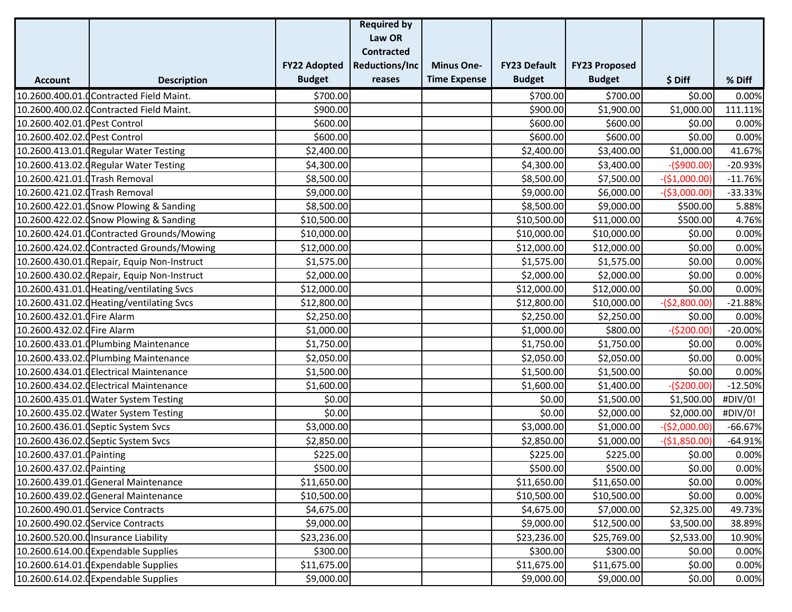|                                |                                             |                     | <b>Required by</b>    |                     |                     |                      |                |           |
|--------------------------------|---------------------------------------------|---------------------|-----------------------|---------------------|---------------------|----------------------|----------------|-----------|
|                                |                                             |                     | Law OR                |                     |                     |                      |                |           |
|                                |                                             |                     | <b>Contracted</b>     |                     |                     |                      |                |           |
|                                |                                             | <b>FY22 Adopted</b> | <b>Reductions/Inc</b> | <b>Minus One-</b>   | <b>FY23 Default</b> | <b>FY23 Proposed</b> |                |           |
| <b>Account</b>                 | <b>Description</b>                          | <b>Budget</b>       | reases                | <b>Time Expense</b> | <b>Budget</b>       | <b>Budget</b>        | \$ Diff        | % Diff    |
|                                | 10.2600.400.01.0 Contracted Field Maint.    | \$700.00            |                       |                     | \$700.00            | \$700.00             | \$0.00         | 0.00%     |
|                                | 10.2600.400.02.0 Contracted Field Maint.    | \$900.00            |                       |                     | \$900.00            | \$1,900.00           | \$1,000.00     | 111.11%   |
| 10.2600.402.01.0 Pest Control  |                                             | \$600.00            |                       |                     | \$600.00            | \$600.00             | \$0.00         | 0.00%     |
| 10.2600.402.02.0 Pest Control  |                                             | \$600.00            |                       |                     | \$600.00            | \$600.00             | \$0.00         | 0.00%     |
|                                | 10.2600.413.01. GRegular Water Testing      | \$2,400.00          |                       |                     | \$2,400.00          | \$3,400.00           | \$1,000.00     | 41.67%    |
|                                | 10.2600.413.02. (Regular Water Testing      | \$4,300.00          |                       |                     | \$4,300.00          | \$3,400.00           | $-($900.00)$   | $-20.93%$ |
| 10.2600.421.01.0Trash Removal  |                                             | \$8,500.00          |                       |                     | \$8,500.00          | \$7,500.00           | $-($1,000.00)$ | $-11.76%$ |
| 10.2600.421.02.0 Trash Removal |                                             | \$9,000.00          |                       |                     | \$9,000.00          | \$6,000.00           | $-($3,000.00)$ | $-33.33%$ |
|                                | 10.2600.422.01.0 Snow Plowing & Sanding     | \$8,500.00          |                       |                     | \$8,500.00          | \$9,000.00           | \$500.00       | 5.88%     |
|                                | 10.2600.422.02.0Snow Plowing & Sanding      | \$10,500.00         |                       |                     | \$10,500.00         | \$11,000.00          | \$500.00       | 4.76%     |
|                                | 10.2600.424.01.0Contracted Grounds/Mowing   | \$10,000.00         |                       |                     | \$10,000.00         | \$10,000.00          | \$0.00         | 0.00%     |
|                                | 10.2600.424.02.0 Contracted Grounds/Mowing  | \$12,000.00         |                       |                     | \$12,000.00         | \$12,000.00          | \$0.00         | 0.00%     |
|                                | 10.2600.430.01. (Repair, Equip Non-Instruct | \$1,575.00          |                       |                     | \$1,575.00          | \$1,575.00           | \$0.00         | 0.00%     |
|                                | 10.2600.430.02. (Repair, Equip Non-Instruct | \$2,000.00          |                       |                     | \$2,000.00          | \$2,000.00           | \$0.00         | 0.00%     |
|                                | 10.2600.431.01.0Heating/ventilating Svcs    | \$12,000.00         |                       |                     | \$12,000.00         | \$12,000.00          | \$0.00         | 0.00%     |
|                                | 10.2600.431.02.0 Heating/ventilating Svcs   | \$12,800.00         |                       |                     | \$12,800.00         | \$10,000.00          | $-($2,800.00)$ | $-21.88%$ |
| 10.2600.432.01.0 Fire Alarm    |                                             | \$2,250.00          |                       |                     | \$2,250.00          | \$2,250.00           | \$0.00         | 0.00%     |
| 10.2600.432.02.0 Fire Alarm    |                                             | \$1,000.00          |                       |                     | \$1,000.00          | \$800.00             | $-($200.00)$   | $-20.00%$ |
|                                | 10.2600.433.01.0 Plumbing Maintenance       | \$1,750.00          |                       |                     | \$1,750.00          | \$1,750.00           | \$0.00         | 0.00%     |
|                                | 10.2600.433.02. Plumbing Maintenance        | \$2,050.00          |                       |                     | \$2,050.00          | \$2,050.00           | \$0.00         | 0.00%     |
|                                | 10.2600.434.01.0 Electrical Maintenance     | \$1,500.00          |                       |                     | \$1,500.00          | \$1,500.00           | \$0.00         | 0.00%     |
|                                | 10.2600.434.02.0 Electrical Maintenance     | \$1,600.00          |                       |                     | \$1,600.00          | \$1,400.00           | $-($200.00)$   | $-12.50%$ |
|                                | 10.2600.435.01.0 Water System Testing       | \$0.00              |                       |                     | \$0.00              | \$1,500.00           | \$1,500.00     | #DIV/0!   |
|                                | 10.2600.435.02.0 Water System Testing       | \$0.00              |                       |                     | \$0.00              | \$2,000.00           | \$2,000.00     | #DIV/0!   |
|                                | 10.2600.436.01.0 Septic System Svcs         | \$3,000.00          |                       |                     | \$3,000.00          | \$1,000.00           | $-(52,000.00)$ | $-66.67%$ |
|                                | 10.2600.436.02.0 Septic System Svcs         | \$2,850.00          |                       |                     | \$2,850.00          | \$1,000.00           | $-($1,850.00)$ | $-64.91%$ |
| 10.2600.437.01.0 Painting      |                                             | \$225.00            |                       |                     | \$225.00            | \$225.00             | \$0.00         | 0.00%     |
| 10.2600.437.02.0 Painting      |                                             | \$500.00            |                       |                     | \$500.00            | \$500.00             | \$0.00         | 0.00%     |
|                                | 10.2600.439.01.0 General Maintenance        | \$11,650.00         |                       |                     | \$11,650.00         | \$11,650.00          | \$0.00         | 0.00%     |
|                                | 10.2600.439.02.0 General Maintenance        | \$10,500.00         |                       |                     | \$10,500.00         | \$10,500.00          | \$0.00         | 0.00%     |
|                                | 10.2600.490.01.0 Service Contracts          | \$4,675.00          |                       |                     | \$4,675.00          | \$7,000.00           | \$2,325.00     | 49.73%    |
|                                | 10.2600.490.02.0 Service Contracts          | \$9,000.00          |                       |                     | \$9,000.00          | \$12,500.00          | \$3,500.00     | 38.89%    |
|                                | 10.2600.520.00.0 Insurance Liability        | \$23,236.00         |                       |                     | \$23,236.00         | \$25,769.00          | \$2,533.00     | 10.90%    |
|                                | 10.2600.614.00.0Expendable Supplies         | \$300.00            |                       |                     | \$300.00            | \$300.00             | \$0.00         | 0.00%     |
|                                | 10.2600.614.01.0Expendable Supplies         | \$11,675.00         |                       |                     | \$11,675.00         | \$11,675.00          | \$0.00         | 0.00%     |
|                                | 10.2600.614.02.0Expendable Supplies         | \$9,000.00          |                       |                     | \$9,000.00          | \$9,000.00           | \$0.00         | 0.00%     |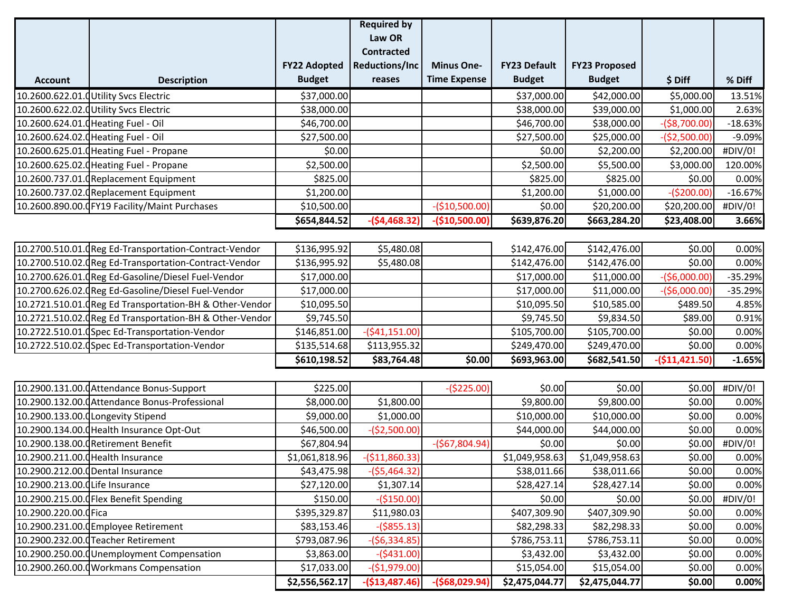|                                  |                                                         |                     | <b>Required by</b>    |                     |                     |                      |                 |           |
|----------------------------------|---------------------------------------------------------|---------------------|-----------------------|---------------------|---------------------|----------------------|-----------------|-----------|
|                                  |                                                         |                     | Law OR                |                     |                     |                      |                 |           |
|                                  |                                                         |                     | <b>Contracted</b>     |                     |                     |                      |                 |           |
|                                  |                                                         | <b>FY22 Adopted</b> | <b>Reductions/Inc</b> | <b>Minus One-</b>   | <b>FY23 Default</b> | <b>FY23 Proposed</b> |                 |           |
| <b>Account</b>                   | <b>Description</b>                                      | <b>Budget</b>       | reases                | <b>Time Expense</b> | <b>Budget</b>       | <b>Budget</b>        | \$ Diff         | % Diff    |
|                                  | 10.2600.622.01.0 Utility Svcs Electric                  | \$37,000.00         |                       |                     | \$37,000.00         | \$42,000.00          | \$5,000.00      | 13.51%    |
|                                  | 10.2600.622.02.0 Utility Svcs Electric                  | \$38,000.00         |                       |                     | \$38,000.00         | \$39,000.00          | \$1,000.00      | 2.63%     |
|                                  | 10.2600.624.01.0 Heating Fuel - Oil                     | \$46,700.00         |                       |                     | \$46,700.00         | \$38,000.00          | $-($8,700.00)$  | $-18.63%$ |
|                                  | 10.2600.624.02.0 Heating Fuel - Oil                     | \$27,500.00         |                       |                     | \$27,500.00         | \$25,000.00          | $-($2,500.00)$  | $-9.09%$  |
|                                  | 10.2600.625.01. Heating Fuel - Propane                  | \$0.00              |                       |                     | \$0.00              | \$2,200.00           | \$2,200.00      | #DIV/0!   |
|                                  | 10.2600.625.02. Heating Fuel - Propane                  | \$2,500.00          |                       |                     | \$2,500.00          | \$5,500.00           | \$3,000.00      | 120.00%   |
|                                  | 10.2600.737.01.0Replacement Equipment                   | \$825.00            |                       |                     | \$825.00            | \$825.00             | \$0.00          | 0.00%     |
|                                  | 10.2600.737.02. Replacement Equipment                   | \$1,200.00          |                       |                     | \$1,200.00          | \$1,000.00           | $-($200.00)$    | $-16.67%$ |
|                                  | 10.2600.890.00.0FY19 Facility/Maint Purchases           | \$10,500.00         |                       | $-($10,500.00)$     | \$0.00              | \$20,200.00          | \$20,200.00     | #DIV/0!   |
|                                  |                                                         | \$654,844.52        | $-($4,468.32)$        | $-($10,500.00)$     | \$639,876.20        | \$663,284.20         | \$23,408.00     | 3.66%     |
|                                  |                                                         |                     |                       |                     |                     |                      |                 |           |
|                                  | 10.2700.510.01. Reg Ed-Transportation-Contract-Vendor   | \$136,995.92        | \$5,480.08            |                     | \$142,476.00        | \$142,476.00         | \$0.00          | 0.00%     |
|                                  | 10.2700.510.02. (Reg Ed-Transportation-Contract-Vendor  | \$136,995.92        | \$5,480.08            |                     | \$142,476.00        | \$142,476.00         | \$0.00          | 0.00%     |
|                                  | 10.2700.626.01. (Reg Ed-Gasoline/Diesel Fuel-Vendor     | \$17,000.00         |                       |                     | \$17,000.00         | \$11,000.00          | $-($6,000.00)$  | $-35.29%$ |
|                                  | 10.2700.626.02. GReg Ed-Gasoline/Diesel Fuel-Vendor     | \$17,000.00         |                       |                     | \$17,000.00         | \$11,000.00          | $-($6,000.00)$  | $-35.29%$ |
|                                  | 10.2721.510.01. Reg Ed Transportation-BH & Other-Vendor | \$10,095.50         |                       |                     | \$10,095.50         | \$10,585.00          | \$489.50        | 4.85%     |
|                                  | 10.2721.510.02. Reg Ed Transportation-BH & Other-Vendor | \$9,745.50          |                       |                     | \$9,745.50          | \$9,834.50           | \$89.00         | 0.91%     |
|                                  | 10.2722.510.01. (Spec Ed-Transportation-Vendor          | \$146,851.00        | (541, 151.00)         |                     | \$105,700.00        | \$105,700.00         | \$0.00          | 0.00%     |
|                                  | 10.2722.510.02.0Spec Ed-Transportation-Vendor           | \$135,514.68        | \$113,955.32          |                     | \$249,470.00        | \$249,470.00         | \$0.00          | 0.00%     |
|                                  |                                                         | \$610,198.52        | \$83,764.48           | \$0.00              | \$693,963.00        | \$682,541.50         | $-($11,421.50)$ | $-1.65%$  |
|                                  |                                                         |                     |                       |                     |                     |                      |                 |           |
|                                  | 10.2900.131.00.0 Attendance Bonus-Support               | \$225.00            |                       | $-($225.00)$        | \$0.00              | \$0.00               | \$0.00          | #DIV/0!   |
|                                  | 10.2900.132.00.0 Attendance Bonus-Professional          | \$8,000.00          | \$1,800.00            |                     | \$9,800.00          | \$9,800.00           | \$0.00          | 0.00%     |
|                                  | 10.2900.133.00.0 Longevity Stipend                      | \$9,000.00          | \$1,000.00            |                     | \$10,000.00         | \$10,000.00          | \$0.00          | 0.00%     |
|                                  | 10.2900.134.00.0 Health Insurance Opt-Out               | \$46,500.00         | $-($2,500.00)$        |                     | \$44,000.00         | \$44,000.00          | \$0.00          | 0.00%     |
|                                  | 10.2900.138.00.0 Retirement Benefit                     | \$67,804.94         |                       | $-($67,804.94)$     | \$0.00              | \$0.00               | \$0.00          | #DIV/0!   |
|                                  | 10.2900.211.00.0 Health Insurance                       | \$1,061,818.96      | $-($11,860.33)$       |                     | \$1,049,958.63      | \$1,049,958.63       | \$0.00          | 0.00%     |
| 10.2900.212.00.0Dental Insurance |                                                         | \$43,475.98         | $-($5,464.32)$        |                     | \$38,011.66         | \$38,011.66          | \$0.00          | 0.00%     |
| 10.2900.213.00.0 Life Insurance  |                                                         | \$27,120.00         | \$1,307.14            |                     | \$28,427.14         | \$28,427.14          | \$0.00          | 0.00%     |
|                                  | 10.2900.215.00. Flex Benefit Spending                   | \$150.00            | $-($150.00)$          |                     | \$0.00              | \$0.00               | \$0.00          | #DIV/0!   |
| 10.2900.220.00.0 Fica            |                                                         | \$395,329.87        | \$11,980.03           |                     | \$407,309.90        | \$407,309.90         | \$0.00          | 0.00%     |
|                                  | 10.2900.231.00.0 Employee Retirement                    | \$83,153.46         | $-($855.13)$          |                     | \$82,298.33         | \$82,298.33          | \$0.00          | 0.00%     |
|                                  | 10.2900.232.00.0 Teacher Retirement                     | \$793,087.96        | $-($6,334.85)$        |                     | \$786,753.11        | \$786,753.11         | \$0.00          | 0.00%     |
|                                  | 10.2900.250.00.0Unemployment Compensation               | \$3,863.00          | $-($431.00)$          |                     | \$3,432.00          | \$3,432.00           | \$0.00          | 0.00%     |
|                                  | 10.2900.260.00.0 Workmans Compensation                  | \$17,033.00         | $-($1,979.00)$        |                     | \$15,054.00         | \$15,054.00          | \$0.00          | 0.00%     |
|                                  |                                                         | \$2,556,562.17      | $-($13,487.46)$       | $-($68,029.94)$     | \$2,475,044.77      | \$2,475,044.77       | \$0.00          | 0.00%     |